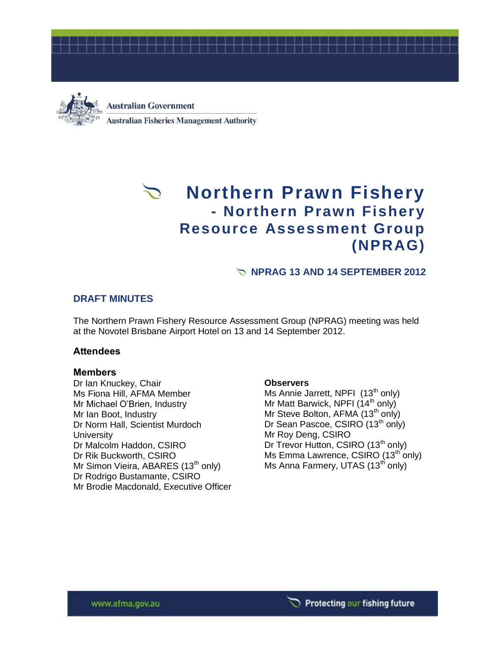



**Australian Government Australian Fisheries Management Authority** 

# **Northern Prawn Fishery - Northern Prawn Fishery Resource Assessment Group (NPRAG)**

# **NPRAG 13 AND 14 SEPTEMBER 2012**

# **DRAFT MINUTES**

The Northern Prawn Fishery Resource Assessment Group (NPRAG) meeting was held at the Novotel Brisbane Airport Hotel on 13 and 14 September 2012.

### **Attendees**

### **Members**

Dr Ian Knuckey, Chair Ms Fiona Hill, AFMA Member Mr Michael O'Brien, Industry Mr Ian Boot, Industry Dr Norm Hall, Scientist Murdoch **University** Dr Malcolm Haddon, CSIRO Dr Rik Buckworth, CSIRO Mr Simon Vieira, ABARES  $(13<sup>th</sup>$  only) Dr Rodrigo Bustamante, CSIRO Mr Brodie Macdonald, Executive Officer

### **Observers**

Ms Annie Jarrett, NPFI (13<sup>th</sup> only) Mr Matt Barwick, NPFI  $(14<sup>th</sup>$  only) Mr Steve Bolton, AFMA (13<sup>th</sup> only) Dr Sean Pascoe, CSIRO (13<sup>th</sup> only) Mr Roy Deng, CSIRO Dr Trevor Hutton, CSIRO (13<sup>th</sup> only) Ms Emma Lawrence, CSIRO  $(13<sup>th</sup>$  only) Ms Anna Farmery, UTAS (13<sup>th</sup> only)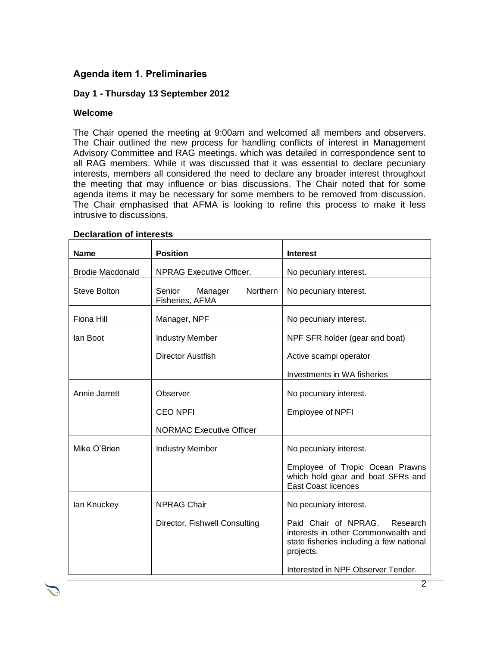# **Agenda item 1. Preliminaries**

# **Day 1 - Thursday 13 September 2012**

#### **Welcome**

The Chair opened the meeting at 9:00am and welcomed all members and observers. The Chair outlined the new process for handling conflicts of interest in Management Advisory Committee and RAG meetings, which was detailed in correspondence sent to all RAG members. While it was discussed that it was essential to declare pecuniary interests, members all considered the need to declare any broader interest throughout the meeting that may influence or bias discussions. The Chair noted that for some agenda items it may be necessary for some members to be removed from discussion. The Chair emphasised that AFMA is looking to refine this process to make it less intrusive to discussions.

| <b>Name</b>             | <b>Position</b>                                         | <b>Interest</b>                                                                                                                  |
|-------------------------|---------------------------------------------------------|----------------------------------------------------------------------------------------------------------------------------------|
| <b>Brodie Macdonald</b> | <b>NPRAG Executive Officer.</b>                         | No pecuniary interest.                                                                                                           |
| <b>Steve Bolton</b>     | Senior<br><b>Northern</b><br>Manager<br>Fisheries, AFMA | No pecuniary interest.                                                                                                           |
| Fiona Hill              | Manager, NPF                                            | No pecuniary interest.                                                                                                           |
| lan Boot                | <b>Industry Member</b>                                  | NPF SFR holder (gear and boat)                                                                                                   |
|                         | Director Austrish                                       | Active scampi operator                                                                                                           |
|                         |                                                         | Investments in WA fisheries                                                                                                      |
| Annie Jarrett           | Observer                                                | No pecuniary interest.                                                                                                           |
|                         | <b>CEO NPFI</b>                                         | <b>Employee of NPFI</b>                                                                                                          |
|                         | <b>NORMAC Executive Officer</b>                         |                                                                                                                                  |
| Mike O'Brien            | <b>Industry Member</b>                                  | No pecuniary interest.                                                                                                           |
|                         |                                                         | Employee of Tropic Ocean Prawns<br>which hold gear and boat SFRs and<br><b>East Coast licences</b>                               |
| lan Knuckey             | <b>NPRAG Chair</b>                                      | No pecuniary interest.                                                                                                           |
|                         | Director, Fishwell Consulting                           | Paid Chair of NPRAG.<br>Research<br>interests in other Commonwealth and<br>state fisheries including a few national<br>projects. |
|                         |                                                         | Interested in NPF Observer Tender.                                                                                               |

#### **Declaration of interests**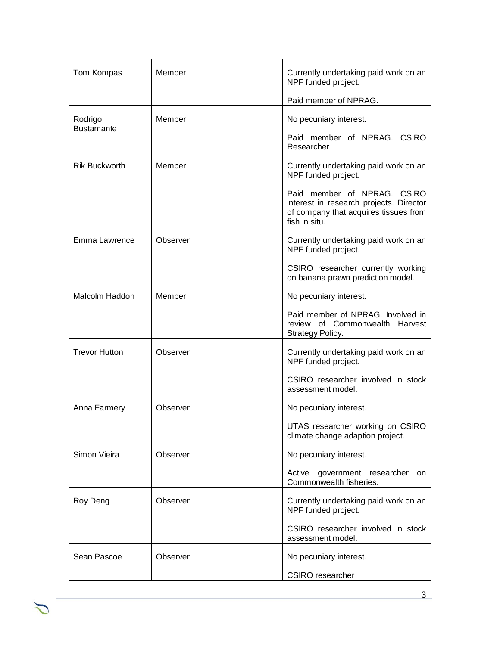| Tom Kompas                   | Member   | Currently undertaking paid work on an<br>NPF funded project.                                                                     |  |
|------------------------------|----------|----------------------------------------------------------------------------------------------------------------------------------|--|
|                              |          | Paid member of NPRAG.                                                                                                            |  |
| Rodrigo<br><b>Bustamante</b> | Member   | No pecuniary interest.                                                                                                           |  |
|                              |          | Paid member of NPRAG. CSIRO<br>Researcher                                                                                        |  |
| <b>Rik Buckworth</b>         | Member   | Currently undertaking paid work on an<br>NPF funded project.                                                                     |  |
|                              |          | Paid member of NPRAG. CSIRO<br>interest in research projects. Director<br>of company that acquires tissues from<br>fish in situ. |  |
| Emma Lawrence                | Observer | Currently undertaking paid work on an<br>NPF funded project.                                                                     |  |
|                              |          | CSIRO researcher currently working<br>on banana prawn prediction model.                                                          |  |
| Malcolm Haddon               | Member   | No pecuniary interest.                                                                                                           |  |
|                              |          | Paid member of NPRAG. Involved in<br>review of Commonwealth Harvest<br>Strategy Policy.                                          |  |
| <b>Trevor Hutton</b>         | Observer | Currently undertaking paid work on an<br>NPF funded project.                                                                     |  |
|                              |          | CSIRO researcher involved in stock<br>assessment model.                                                                          |  |
| Anna Farmery                 | Observer | No pecuniary interest.                                                                                                           |  |
|                              |          | UTAS researcher working on CSIRO<br>climate change adaption project.                                                             |  |
| Simon Vieira                 | Observer | No pecuniary interest.                                                                                                           |  |
|                              |          | Active<br>government researcher<br>on<br>Commonwealth fisheries.                                                                 |  |
| Roy Deng                     | Observer | Currently undertaking paid work on an<br>NPF funded project.                                                                     |  |
|                              |          | CSIRO researcher involved in stock<br>assessment model.                                                                          |  |
| Sean Pascoe                  | Observer | No pecuniary interest.                                                                                                           |  |
|                              |          | CSIRO researcher                                                                                                                 |  |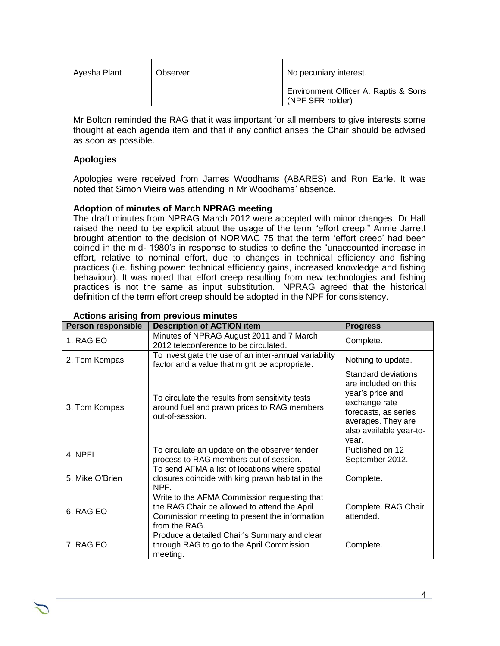| Avesha Plant | Observer | No pecuniary interest.                                   |
|--------------|----------|----------------------------------------------------------|
|              |          | Environment Officer A. Raptis & Sons<br>(NPF SFR holder) |

Mr Bolton reminded the RAG that it was important for all members to give interests some thought at each agenda item and that if any conflict arises the Chair should be advised as soon as possible.

## **Apologies**

Apologies were received from James Woodhams (ABARES) and Ron Earle. It was noted that Simon Vieira was attending in Mr Woodhams' absence.

### **Adoption of minutes of March NPRAG meeting**

The draft minutes from NPRAG March 2012 were accepted with minor changes. Dr Hall raised the need to be explicit about the usage of the term "effort creep." Annie Jarrett brought attention to the decision of NORMAC 75 that the term 'effort creep' had been coined in the mid- 1980's in response to studies to define the "unaccounted increase in effort, relative to nominal effort, due to changes in technical efficiency and fishing practices (i.e. fishing power: technical efficiency gains, increased knowledge and fishing behaviour). It was noted that effort creep resulting from new technologies and fishing practices is not the same as input substitution. NPRAG agreed that the historical definition of the term effort creep should be adopted in the NPF for consistency.

| <b>Person responsible</b> | Adudiid ahanig hom providus minutes<br><b>Description of ACTION item</b>                                                                                       | <b>Progress</b>                                                                                                                                                           |
|---------------------------|----------------------------------------------------------------------------------------------------------------------------------------------------------------|---------------------------------------------------------------------------------------------------------------------------------------------------------------------------|
| 1. RAG EO                 | Minutes of NPRAG August 2011 and 7 March<br>2012 teleconference to be circulated.                                                                              | Complete.                                                                                                                                                                 |
| 2. Tom Kompas             | To investigate the use of an inter-annual variability<br>factor and a value that might be appropriate.                                                         | Nothing to update.                                                                                                                                                        |
| 3. Tom Kompas             | To circulate the results from sensitivity tests<br>around fuel and prawn prices to RAG members<br>out-of-session.                                              | <b>Standard deviations</b><br>are included on this<br>year's price and<br>exchange rate<br>forecasts, as series<br>averages. They are<br>also available year-to-<br>year. |
| 4. NPFI                   | To circulate an update on the observer tender<br>process to RAG members out of session.                                                                        | Published on 12<br>September 2012.                                                                                                                                        |
| 5. Mike O'Brien           | To send AFMA a list of locations where spatial<br>closures coincide with king prawn habitat in the<br>NPF.                                                     | Complete.                                                                                                                                                                 |
| 6. RAG EO                 | Write to the AFMA Commission requesting that<br>the RAG Chair be allowed to attend the April<br>Commission meeting to present the information<br>from the RAG. | Complete. RAG Chair<br>attended.                                                                                                                                          |
| 7. RAG EO                 | Produce a detailed Chair's Summary and clear<br>through RAG to go to the April Commission<br>meeting.                                                          | Complete.                                                                                                                                                                 |

#### **Actions arising from previous minutes**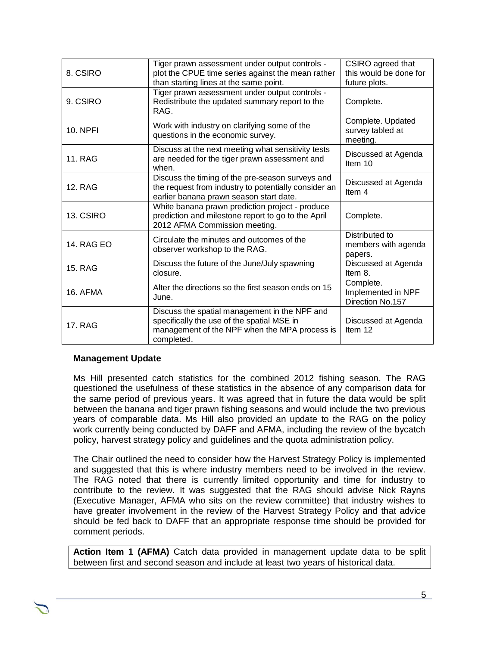| 8. CSIRO          | Tiger prawn assessment under output controls -<br>plot the CPUE time series against the mean rather<br>than starting lines at the same point.              | CSIRO agreed that<br>this would be done for<br>future plots. |
|-------------------|------------------------------------------------------------------------------------------------------------------------------------------------------------|--------------------------------------------------------------|
| 9. CSIRO          | Tiger prawn assessment under output controls -<br>Redistribute the updated summary report to the<br>RAG.                                                   | Complete.                                                    |
| <b>10. NPFI</b>   | Work with industry on clarifying some of the<br>questions in the economic survey.                                                                          | Complete. Updated<br>survey tabled at<br>meeting.            |
| 11. RAG           | Discuss at the next meeting what sensitivity tests<br>are needed for the tiger prawn assessment and<br>when.                                               | Discussed at Agenda<br>Item $10$                             |
| <b>12. RAG</b>    | Discuss the timing of the pre-season surveys and<br>the request from industry to potentially consider an<br>earlier banana prawn season start date.        | Discussed at Agenda<br>Item 4                                |
| 13. CSIRO         | White banana prawn prediction project - produce<br>prediction and milestone report to go to the April<br>2012 AFMA Commission meeting.                     | Complete.                                                    |
| <b>14. RAG EO</b> | Circulate the minutes and outcomes of the<br>observer workshop to the RAG.                                                                                 | Distributed to<br>members with agenda<br>papers.             |
| <b>15. RAG</b>    | Discuss the future of the June/July spawning<br>closure.                                                                                                   | Discussed at Agenda<br>Item 8.                               |
| 16. AFMA          | Alter the directions so the first season ends on 15<br>June.                                                                                               | Complete.<br>Implemented in NPF<br>Direction No.157          |
| <b>17. RAG</b>    | Discuss the spatial management in the NPF and<br>specifically the use of the spatial MSE in<br>management of the NPF when the MPA process is<br>completed. | Discussed at Agenda<br>Item 12                               |

### **Management Update**

Ms Hill presented catch statistics for the combined 2012 fishing season. The RAG questioned the usefulness of these statistics in the absence of any comparison data for the same period of previous years. It was agreed that in future the data would be split between the banana and tiger prawn fishing seasons and would include the two previous years of comparable data. Ms Hill also provided an update to the RAG on the policy work currently being conducted by DAFF and AFMA, including the review of the bycatch policy, harvest strategy policy and guidelines and the quota administration policy.

The Chair outlined the need to consider how the Harvest Strategy Policy is implemented and suggested that this is where industry members need to be involved in the review. The RAG noted that there is currently limited opportunity and time for industry to contribute to the review. It was suggested that the RAG should advise Nick Rayns (Executive Manager, AFMA who sits on the review committee) that industry wishes to have greater involvement in the review of the Harvest Strategy Policy and that advice should be fed back to DAFF that an appropriate response time should be provided for comment periods.

**Action Item 1 (AFMA)** Catch data provided in management update data to be split between first and second season and include at least two years of historical data.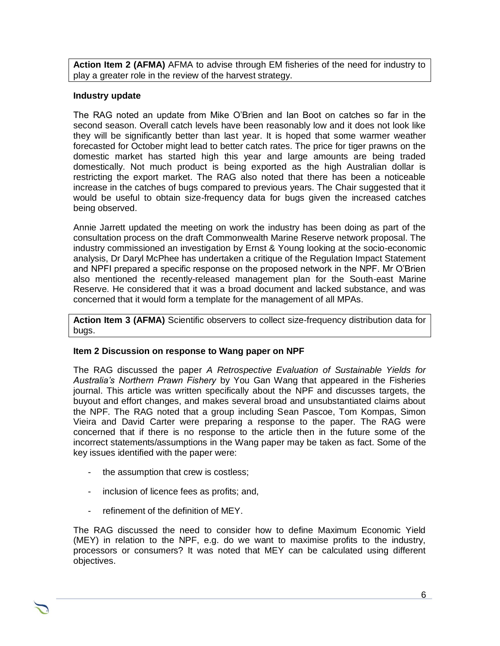**Action Item 2 (AFMA)** AFMA to advise through EM fisheries of the need for industry to play a greater role in the review of the harvest strategy.

# **Industry update**

The RAG noted an update from Mike O'Brien and Ian Boot on catches so far in the second season. Overall catch levels have been reasonably low and it does not look like they will be significantly better than last year. It is hoped that some warmer weather forecasted for October might lead to better catch rates. The price for tiger prawns on the domestic market has started high this year and large amounts are being traded domestically. Not much product is being exported as the high Australian dollar is restricting the export market. The RAG also noted that there has been a noticeable increase in the catches of bugs compared to previous years. The Chair suggested that it would be useful to obtain size-frequency data for bugs given the increased catches being observed.

Annie Jarrett updated the meeting on work the industry has been doing as part of the consultation process on the draft Commonwealth Marine Reserve network proposal. The industry commissioned an investigation by Ernst & Young looking at the socio-economic analysis, Dr Daryl McPhee has undertaken a critique of the Regulation Impact Statement and NPFI prepared a specific response on the proposed network in the NPF. Mr O'Brien also mentioned the recently-released management plan for the South-east Marine Reserve. He considered that it was a broad document and lacked substance, and was concerned that it would form a template for the management of all MPAs.

**Action Item 3 (AFMA)** Scientific observers to collect size-frequency distribution data for bugs.

### **Item 2 Discussion on response to Wang paper on NPF**

The RAG discussed the paper *A Retrospective Evaluation of Sustainable Yields for Australia's Northern Prawn Fishery* by You Gan Wang that appeared in the Fisheries journal. This article was written specifically about the NPF and discusses targets, the buyout and effort changes, and makes several broad and unsubstantiated claims about the NPF. The RAG noted that a group including Sean Pascoe, Tom Kompas, Simon Vieira and David Carter were preparing a response to the paper. The RAG were concerned that if there is no response to the article then in the future some of the incorrect statements/assumptions in the Wang paper may be taken as fact. Some of the key issues identified with the paper were:

- the assumption that crew is costless;
- inclusion of licence fees as profits; and,
- refinement of the definition of MEY.

The RAG discussed the need to consider how to define Maximum Economic Yield (MEY) in relation to the NPF, e.g. do we want to maximise profits to the industry, processors or consumers? It was noted that MEY can be calculated using different objectives.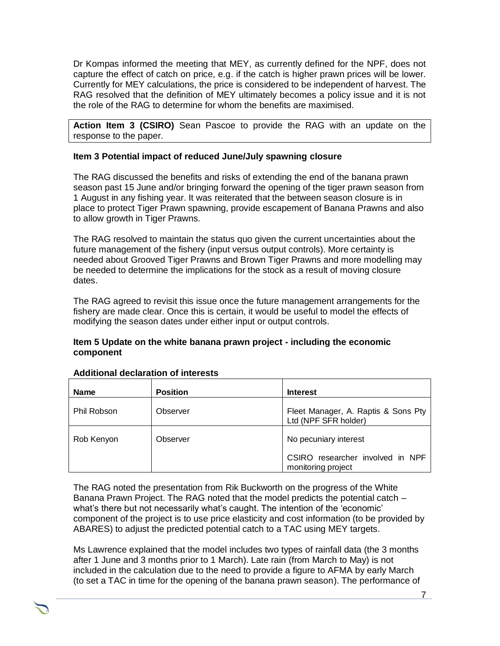Dr Kompas informed the meeting that MEY, as currently defined for the NPF, does not capture the effect of catch on price, e.g. if the catch is higher prawn prices will be lower. Currently for MEY calculations, the price is considered to be independent of harvest. The RAG resolved that the definition of MEY ultimately becomes a policy issue and it is not the role of the RAG to determine for whom the benefits are maximised.

**Action Item 3 (CSIRO)** Sean Pascoe to provide the RAG with an update on the response to the paper.

### **Item 3 Potential impact of reduced June/July spawning closure**

The RAG discussed the benefits and risks of extending the end of the banana prawn season past 15 June and/or bringing forward the opening of the tiger prawn season from 1 August in any fishing year. It was reiterated that the between season closure is in place to protect Tiger Prawn spawning, provide escapement of Banana Prawns and also to allow growth in Tiger Prawns.

The RAG resolved to maintain the status quo given the current uncertainties about the future management of the fishery (input versus output controls). More certainty is needed about Grooved Tiger Prawns and Brown Tiger Prawns and more modelling may be needed to determine the implications for the stock as a result of moving closure dates.

The RAG agreed to revisit this issue once the future management arrangements for the fishery are made clear. Once this is certain, it would be useful to model the effects of modifying the season dates under either input or output controls.

### **Item 5 Update on the white banana prawn project - including the economic component**

| <b>Name</b> | <b>Position</b> | <b>Interest</b>                                             |
|-------------|-----------------|-------------------------------------------------------------|
| Phil Robson | Observer        | Fleet Manager, A. Raptis & Sons Pty<br>Ltd (NPF SFR holder) |
| Rob Kenyon  | Observer        | No pecuniary interest                                       |
|             |                 | CSIRO researcher involved in NPF<br>monitoring project      |

### **Additional declaration of interests**

The RAG noted the presentation from Rik Buckworth on the progress of the White Banana Prawn Project. The RAG noted that the model predicts the potential catch – what's there but not necessarily what's caught. The intention of the 'economic' component of the project is to use price elasticity and cost information (to be provided by ABARES) to adjust the predicted potential catch to a TAC using MEY targets.

Ms Lawrence explained that the model includes two types of rainfall data (the 3 months after 1 June and 3 months prior to 1 March). Late rain (from March to May) is not included in the calculation due to the need to provide a figure to AFMA by early March (to set a TAC in time for the opening of the banana prawn season). The performance of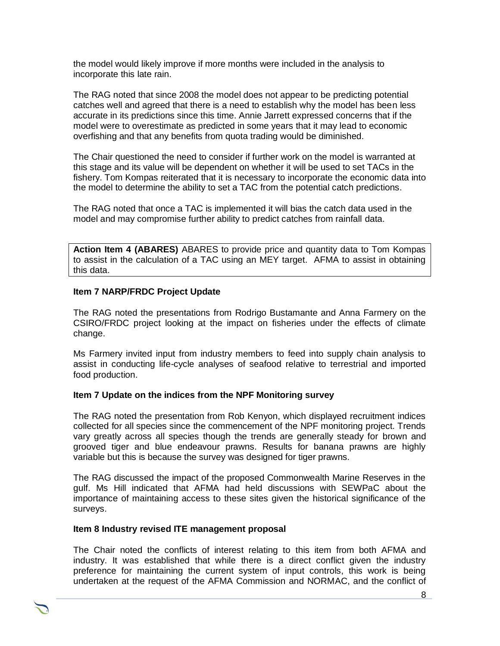the model would likely improve if more months were included in the analysis to incorporate this late rain.

The RAG noted that since 2008 the model does not appear to be predicting potential catches well and agreed that there is a need to establish why the model has been less accurate in its predictions since this time. Annie Jarrett expressed concerns that if the model were to overestimate as predicted in some years that it may lead to economic overfishing and that any benefits from quota trading would be diminished.

The Chair questioned the need to consider if further work on the model is warranted at this stage and its value will be dependent on whether it will be used to set TACs in the fishery. Tom Kompas reiterated that it is necessary to incorporate the economic data into the model to determine the ability to set a TAC from the potential catch predictions.

The RAG noted that once a TAC is implemented it will bias the catch data used in the model and may compromise further ability to predict catches from rainfall data.

**Action Item 4 (ABARES)** ABARES to provide price and quantity data to Tom Kompas to assist in the calculation of a TAC using an MEY target. AFMA to assist in obtaining this data.

# **Item 7 NARP/FRDC Project Update**

The RAG noted the presentations from Rodrigo Bustamante and Anna Farmery on the CSIRO/FRDC project looking at the impact on fisheries under the effects of climate change.

Ms Farmery invited input from industry members to feed into supply chain analysis to assist in conducting life-cycle analyses of seafood relative to terrestrial and imported food production.

### **Item 7 Update on the indices from the NPF Monitoring survey**

The RAG noted the presentation from Rob Kenyon, which displayed recruitment indices collected for all species since the commencement of the NPF monitoring project. Trends vary greatly across all species though the trends are generally steady for brown and grooved tiger and blue endeavour prawns. Results for banana prawns are highly variable but this is because the survey was designed for tiger prawns.

The RAG discussed the impact of the proposed Commonwealth Marine Reserves in the gulf. Ms Hill indicated that AFMA had held discussions with SEWPaC about the importance of maintaining access to these sites given the historical significance of the surveys.

### **Item 8 Industry revised ITE management proposal**

The Chair noted the conflicts of interest relating to this item from both AFMA and industry. It was established that while there is a direct conflict given the industry preference for maintaining the current system of input controls, this work is being undertaken at the request of the AFMA Commission and NORMAC, and the conflict of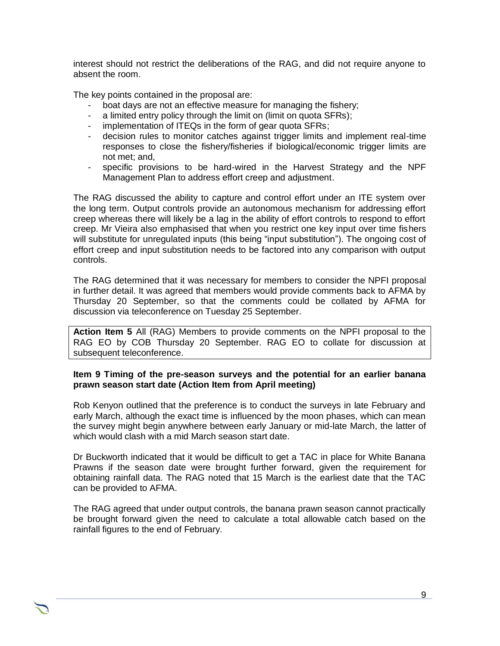interest should not restrict the deliberations of the RAG, and did not require anyone to absent the room.

The key points contained in the proposal are:

- boat days are not an effective measure for managing the fishery;
- a limited entry policy through the limit on (limit on quota SFRs);
- implementation of ITEQs in the form of gear quota SFRs;
- decision rules to monitor catches against trigger limits and implement real-time responses to close the fishery/fisheries if biological/economic trigger limits are not met; and,
- specific provisions to be hard-wired in the Harvest Strategy and the NPF Management Plan to address effort creep and adjustment.

The RAG discussed the ability to capture and control effort under an ITE system over the long term. Output controls provide an autonomous mechanism for addressing effort creep whereas there will likely be a lag in the ability of effort controls to respond to effort creep. Mr Vieira also emphasised that when you restrict one key input over time fishers will substitute for unregulated inputs (this being "input substitution"). The ongoing cost of effort creep and input substitution needs to be factored into any comparison with output controls.

The RAG determined that it was necessary for members to consider the NPFI proposal in further detail. It was agreed that members would provide comments back to AFMA by Thursday 20 September, so that the comments could be collated by AFMA for discussion via teleconference on Tuesday 25 September.

**Action Item 5** All (RAG) Members to provide comments on the NPFI proposal to the RAG EO by COB Thursday 20 September. RAG EO to collate for discussion at subsequent teleconference.

#### **Item 9 Timing of the pre-season surveys and the potential for an earlier banana prawn season start date (Action Item from April meeting)**

Rob Kenyon outlined that the preference is to conduct the surveys in late February and early March, although the exact time is influenced by the moon phases, which can mean the survey might begin anywhere between early January or mid-late March, the latter of which would clash with a mid March season start date.

Dr Buckworth indicated that it would be difficult to get a TAC in place for White Banana Prawns if the season date were brought further forward, given the requirement for obtaining rainfall data. The RAG noted that 15 March is the earliest date that the TAC can be provided to AFMA.

The RAG agreed that under output controls, the banana prawn season cannot practically be brought forward given the need to calculate a total allowable catch based on the rainfall figures to the end of February.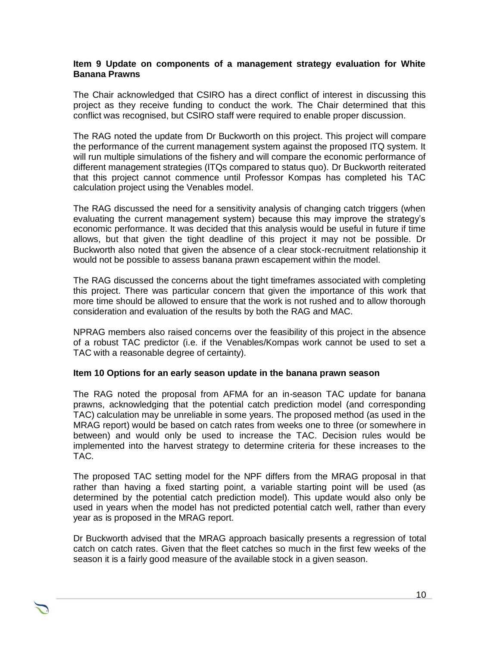#### **Item 9 Update on components of a management strategy evaluation for White Banana Prawns**

The Chair acknowledged that CSIRO has a direct conflict of interest in discussing this project as they receive funding to conduct the work. The Chair determined that this conflict was recognised, but CSIRO staff were required to enable proper discussion.

The RAG noted the update from Dr Buckworth on this project. This project will compare the performance of the current management system against the proposed ITQ system. It will run multiple simulations of the fishery and will compare the economic performance of different management strategies (ITQs compared to status quo). Dr Buckworth reiterated that this project cannot commence until Professor Kompas has completed his TAC calculation project using the Venables model.

The RAG discussed the need for a sensitivity analysis of changing catch triggers (when evaluating the current management system) because this may improve the strategy's economic performance. It was decided that this analysis would be useful in future if time allows, but that given the tight deadline of this project it may not be possible. Dr Buckworth also noted that given the absence of a clear stock-recruitment relationship it would not be possible to assess banana prawn escapement within the model.

The RAG discussed the concerns about the tight timeframes associated with completing this project. There was particular concern that given the importance of this work that more time should be allowed to ensure that the work is not rushed and to allow thorough consideration and evaluation of the results by both the RAG and MAC.

NPRAG members also raised concerns over the feasibility of this project in the absence of a robust TAC predictor (i.e. if the Venables/Kompas work cannot be used to set a TAC with a reasonable degree of certainty).

### **Item 10 Options for an early season update in the banana prawn season**

The RAG noted the proposal from AFMA for an in-season TAC update for banana prawns, acknowledging that the potential catch prediction model (and corresponding TAC) calculation may be unreliable in some years. The proposed method (as used in the MRAG report) would be based on catch rates from weeks one to three (or somewhere in between) and would only be used to increase the TAC. Decision rules would be implemented into the harvest strategy to determine criteria for these increases to the TAC.

The proposed TAC setting model for the NPF differs from the MRAG proposal in that rather than having a fixed starting point, a variable starting point will be used (as determined by the potential catch prediction model). This update would also only be used in years when the model has not predicted potential catch well, rather than every year as is proposed in the MRAG report.

Dr Buckworth advised that the MRAG approach basically presents a regression of total catch on catch rates. Given that the fleet catches so much in the first few weeks of the season it is a fairly good measure of the available stock in a given season.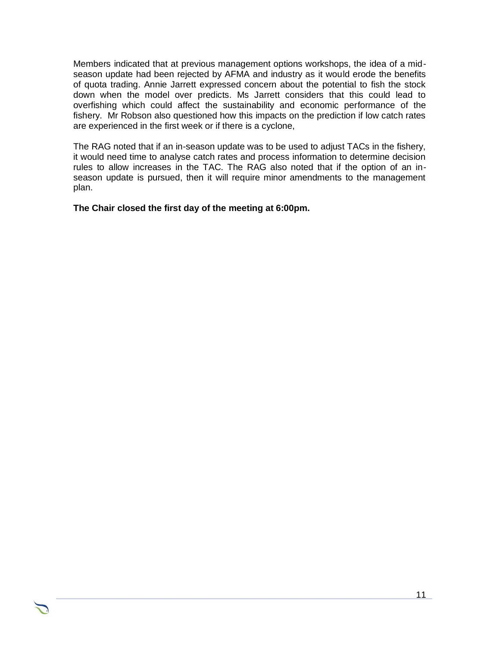Members indicated that at previous management options workshops, the idea of a midseason update had been rejected by AFMA and industry as it would erode the benefits of quota trading. Annie Jarrett expressed concern about the potential to fish the stock down when the model over predicts. Ms Jarrett considers that this could lead to overfishing which could affect the sustainability and economic performance of the fishery. Mr Robson also questioned how this impacts on the prediction if low catch rates are experienced in the first week or if there is a cyclone,

The RAG noted that if an in-season update was to be used to adjust TACs in the fishery, it would need time to analyse catch rates and process information to determine decision rules to allow increases in the TAC. The RAG also noted that if the option of an inseason update is pursued, then it will require minor amendments to the management plan.

**The Chair closed the first day of the meeting at 6:00pm.**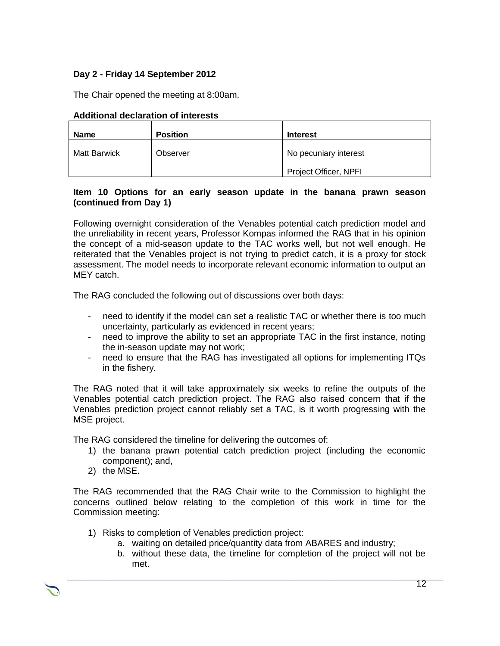# **Day 2 - Friday 14 September 2012**

The Chair opened the meeting at 8:00am.

| <b>Name</b>         | <b>Position</b> | <b>Interest</b>       |
|---------------------|-----------------|-----------------------|
| <b>Matt Barwick</b> | Observer        | No pecuniary interest |
|                     |                 | Project Officer, NPFI |

## **Additional declaration of interests**

#### **Item 10 Options for an early season update in the banana prawn season (continued from Day 1)**

Following overnight consideration of the Venables potential catch prediction model and the unreliability in recent years, Professor Kompas informed the RAG that in his opinion the concept of a mid-season update to the TAC works well, but not well enough. He reiterated that the Venables project is not trying to predict catch, it is a proxy for stock assessment. The model needs to incorporate relevant economic information to output an MEY catch.

The RAG concluded the following out of discussions over both days:

- need to identify if the model can set a realistic TAC or whether there is too much uncertainty, particularly as evidenced in recent years;
- need to improve the ability to set an appropriate TAC in the first instance, noting the in-season update may not work;
- need to ensure that the RAG has investigated all options for implementing ITQs in the fishery.

The RAG noted that it will take approximately six weeks to refine the outputs of the Venables potential catch prediction project. The RAG also raised concern that if the Venables prediction project cannot reliably set a TAC, is it worth progressing with the MSE project.

The RAG considered the timeline for delivering the outcomes of:

- 1) the banana prawn potential catch prediction project (including the economic component); and,
- 2) the MSE.

The RAG recommended that the RAG Chair write to the Commission to highlight the concerns outlined below relating to the completion of this work in time for the Commission meeting:

- 1) Risks to completion of Venables prediction project:
	- a. waiting on detailed price/quantity data from ABARES and industry;
	- b. without these data, the timeline for completion of the project will not be met.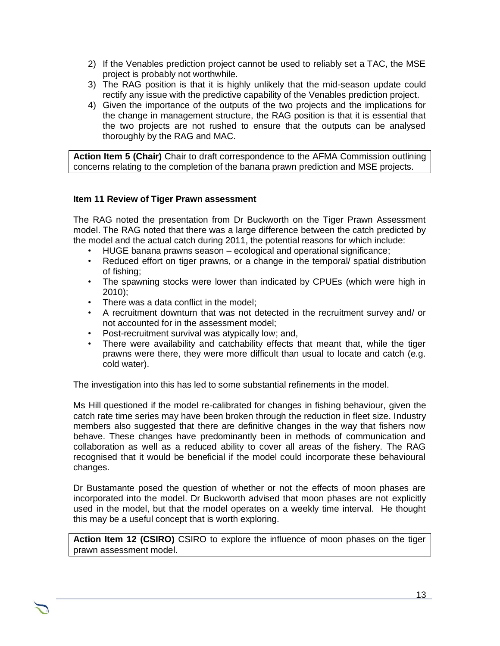- 2) If the Venables prediction project cannot be used to reliably set a TAC, the MSE project is probably not worthwhile.
- 3) The RAG position is that it is highly unlikely that the mid-season update could rectify any issue with the predictive capability of the Venables prediction project.
- 4) Given the importance of the outputs of the two projects and the implications for the change in management structure, the RAG position is that it is essential that the two projects are not rushed to ensure that the outputs can be analysed thoroughly by the RAG and MAC.

**Action Item 5 (Chair)** Chair to draft correspondence to the AFMA Commission outlining concerns relating to the completion of the banana prawn prediction and MSE projects.

### **Item 11 Review of Tiger Prawn assessment**

The RAG noted the presentation from Dr Buckworth on the Tiger Prawn Assessment model. The RAG noted that there was a large difference between the catch predicted by the model and the actual catch during 2011, the potential reasons for which include:

- HUGE banana prawns season ecological and operational significance;
- Reduced effort on tiger prawns, or a change in the temporal/ spatial distribution of fishing;
- The spawning stocks were lower than indicated by CPUEs (which were high in 2010);
- There was a data conflict in the model;
- A recruitment downturn that was not detected in the recruitment survey and/ or not accounted for in the assessment model;
- Post-recruitment survival was atypically low; and,
- There were availability and catchability effects that meant that, while the tiger prawns were there, they were more difficult than usual to locate and catch (e.g. cold water).

The investigation into this has led to some substantial refinements in the model.

Ms Hill questioned if the model re-calibrated for changes in fishing behaviour, given the catch rate time series may have been broken through the reduction in fleet size. Industry members also suggested that there are definitive changes in the way that fishers now behave. These changes have predominantly been in methods of communication and collaboration as well as a reduced ability to cover all areas of the fishery. The RAG recognised that it would be beneficial if the model could incorporate these behavioural changes.

Dr Bustamante posed the question of whether or not the effects of moon phases are incorporated into the model. Dr Buckworth advised that moon phases are not explicitly used in the model, but that the model operates on a weekly time interval. He thought this may be a useful concept that is worth exploring.

**Action Item 12 (CSIRO)** CSIRO to explore the influence of moon phases on the tiger prawn assessment model.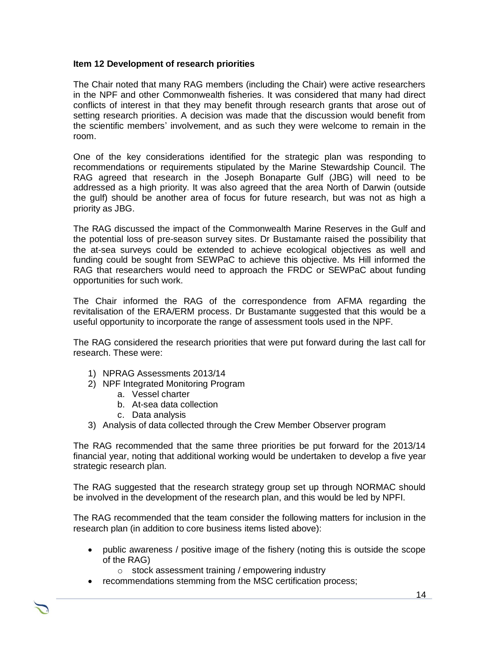### **Item 12 Development of research priorities**

The Chair noted that many RAG members (including the Chair) were active researchers in the NPF and other Commonwealth fisheries. It was considered that many had direct conflicts of interest in that they may benefit through research grants that arose out of setting research priorities. A decision was made that the discussion would benefit from the scientific members' involvement, and as such they were welcome to remain in the room.

One of the key considerations identified for the strategic plan was responding to recommendations or requirements stipulated by the Marine Stewardship Council. The RAG agreed that research in the Joseph Bonaparte Gulf (JBG) will need to be addressed as a high priority. It was also agreed that the area North of Darwin (outside the gulf) should be another area of focus for future research, but was not as high a priority as JBG.

The RAG discussed the impact of the Commonwealth Marine Reserves in the Gulf and the potential loss of pre-season survey sites. Dr Bustamante raised the possibility that the at-sea surveys could be extended to achieve ecological objectives as well and funding could be sought from SEWPaC to achieve this objective. Ms Hill informed the RAG that researchers would need to approach the FRDC or SEWPaC about funding opportunities for such work.

The Chair informed the RAG of the correspondence from AFMA regarding the revitalisation of the ERA/ERM process. Dr Bustamante suggested that this would be a useful opportunity to incorporate the range of assessment tools used in the NPF.

The RAG considered the research priorities that were put forward during the last call for research. These were:

- 1) NPRAG Assessments 2013/14
- 2) NPF Integrated Monitoring Program
	- a. Vessel charter
	- b. At-sea data collection
	- c. Data analysis
- 3) Analysis of data collected through the Crew Member Observer program

The RAG recommended that the same three priorities be put forward for the 2013/14 financial year, noting that additional working would be undertaken to develop a five year strategic research plan.

The RAG suggested that the research strategy group set up through NORMAC should be involved in the development of the research plan, and this would be led by NPFI.

The RAG recommended that the team consider the following matters for inclusion in the research plan (in addition to core business items listed above):

- public awareness / positive image of the fishery (noting this is outside the scope of the RAG)
	- o stock assessment training / empowering industry
- recommendations stemming from the MSC certification process;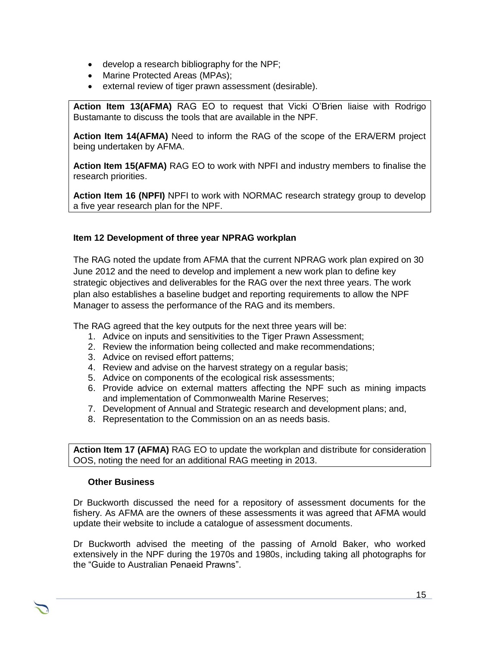- develop a research bibliography for the NPF;
- Marine Protected Areas (MPAs);
- external review of tiger prawn assessment (desirable).

**Action Item 13(AFMA)** RAG EO to request that Vicki O'Brien liaise with Rodrigo Bustamante to discuss the tools that are available in the NPF.

**Action Item 14(AFMA)** Need to inform the RAG of the scope of the ERA/ERM project being undertaken by AFMA.

**Action Item 15(AFMA)** RAG EO to work with NPFI and industry members to finalise the research priorities.

**Action Item 16 (NPFI)** NPFI to work with NORMAC research strategy group to develop a five year research plan for the NPF.

# **Item 12 Development of three year NPRAG workplan**

The RAG noted the update from AFMA that the current NPRAG work plan expired on 30 June 2012 and the need to develop and implement a new work plan to define key strategic objectives and deliverables for the RAG over the next three years. The work plan also establishes a baseline budget and reporting requirements to allow the NPF Manager to assess the performance of the RAG and its members.

The RAG agreed that the key outputs for the next three years will be:

- 1. Advice on inputs and sensitivities to the Tiger Prawn Assessment;
- 2. Review the information being collected and make recommendations;
- 3. Advice on revised effort patterns;
- 4. Review and advise on the harvest strategy on a regular basis;
- 5. Advice on components of the ecological risk assessments;
- 6. Provide advice on external matters affecting the NPF such as mining impacts and implementation of Commonwealth Marine Reserves;
- 7. Development of Annual and Strategic research and development plans; and,
- 8. Representation to the Commission on an as needs basis.

**Action Item 17 (AFMA)** RAG EO to update the workplan and distribute for consideration OOS, noting the need for an additional RAG meeting in 2013.

#### **Other Business**

Dr Buckworth discussed the need for a repository of assessment documents for the fishery. As AFMA are the owners of these assessments it was agreed that AFMA would update their website to include a catalogue of assessment documents.

Dr Buckworth advised the meeting of the passing of Arnold Baker, who worked extensively in the NPF during the 1970s and 1980s, including taking all photographs for the "Guide to Australian Penaeid Prawns".